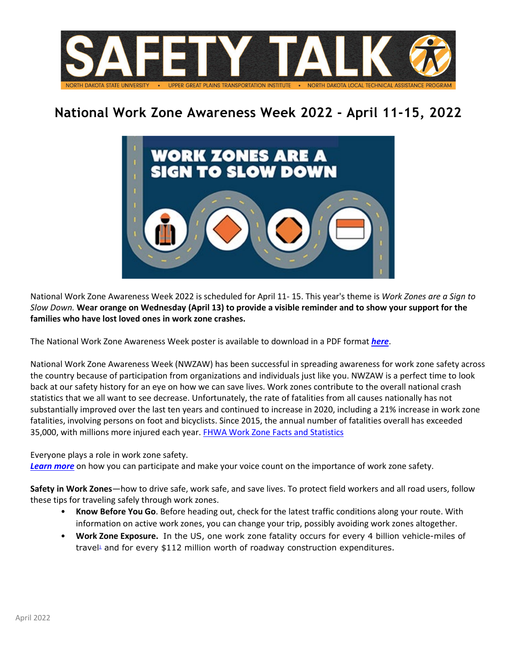

## **National Work Zone Awareness Week 2022 - April 11-15, 2022**



National Work Zone Awareness Week 2022 is scheduled for April 11- 15. This year's theme is *Work Zones are a Sign to Slow Down.* **Wear orange on Wednesday (April 13) to provide a visible reminder and to show your support for the families who have lost loved ones in work zone crashes.**

The National Work Zone Awareness Week poster is available to download in a PDF format *[here](https://workzonesafety-media.s3.amazonaws.com/workzonesafety/files/documents/news_events/awareness_week/2022/NWZAW2022_poster-printer.pdf)*.

National Work Zone Awareness Week (NWZAW) has been successful in spreading awareness for work zone safety across the country because of participation from organizations and individuals just like you. NWZAW is a perfect time to look back at our safety history for an eye on how we can save lives. Work zones contribute to the overall national crash statistics that we all want to see decrease. Unfortunately, the rate of fatalities from all causes nationally has not substantially improved over the last ten years and continued to increase in 2020, including a 21% increase in work zone fatalities, involving persons on foot and bicyclists. Since 2015, the annual number of fatalities overall has exceeded 35,000, with millions more injured each year[. FHWA Work Zone Facts and Statistics](https://ops.fhwa.dot.gov/wz/resources/facts_stats.htm)

Everyone plays a role in work zone safety.

*[Learn more](https://www.workzonesafety.org/meetings-and-events/wz-awareness-week/)* on how you can participate and make your voice count on the importance of work zone safety.

**Safety in Work Zones**—how to drive safe, work safe, and save lives. To protect field workers and all road users, follow these tips for traveling safely through work zones.

- **Know Before You Go**. Before heading out, check for the latest traffic conditions along your route. With information on active work zones, you can change your trip, possibly avoiding work zones altogether.
- **Work Zone Exposure.** In the US, one work zone fatality occurs for every 4 billion vehicle-miles of trave $\mu$  and for every \$112 million worth of roadway construction expenditures.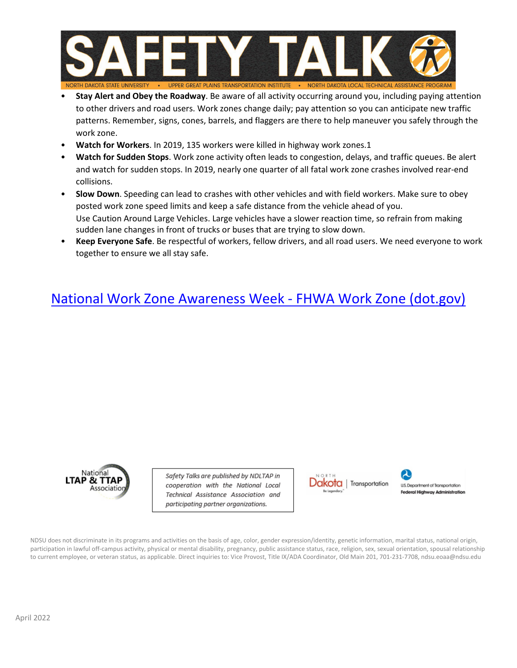

- **Stay Alert and Obey the Roadway**. Be aware of all activity occurring around you, including paying attention to other drivers and road users. Work zones change daily; pay attention so you can anticipate new traffic patterns. Remember, signs, cones, barrels, and flaggers are there to help maneuver you safely through the work zone.
- **Watch for Workers**. In 2019, 135 workers were killed in highway work zones.1
- **Watch for Sudden Stops**. Work zone activity often leads to congestion, delays, and traffic queues. Be alert and watch for sudden stops. In 2019, nearly one quarter of all fatal work zone crashes involved rear-end collisions.
- **Slow Down**. Speeding can lead to crashes with other vehicles and with field workers. Make sure to obey posted work zone speed limits and keep a safe distance from the vehicle ahead of you. Use Caution Around Large Vehicles. Large vehicles have a slower reaction time, so refrain from making sudden lane changes in front of trucks or buses that are trying to slow down.
- **Keep Everyone Safe**. Be respectful of workers, fellow drivers, and all road users. We need everyone to work together to ensure we all stay safe.

## [National Work Zone Awareness Week - FHWA Work Zone \(dot.gov\)](https://ops.fhwa.dot.gov/wz/outreach/wz_awareness.htm)



Safety Talks are published by NDLTAP in cooperation with the National Local Technical Assistance Association and participating partner organizations.





NDSU does not discriminate in its programs and activities on the basis of age, color, gender expression/identity, genetic information, marital status, national origin, participation in lawful off-campus activity, physical or mental disability, pregnancy, public assistance status, race, religion, sex, sexual orientation, spousal relationship to current employee, or veteran status, as applicable. Direct inquiries to: Vice Provost, Title IX/ADA Coordinator, Old Main 201, 701-231-7708, ndsu.eoaa@ndsu.edu